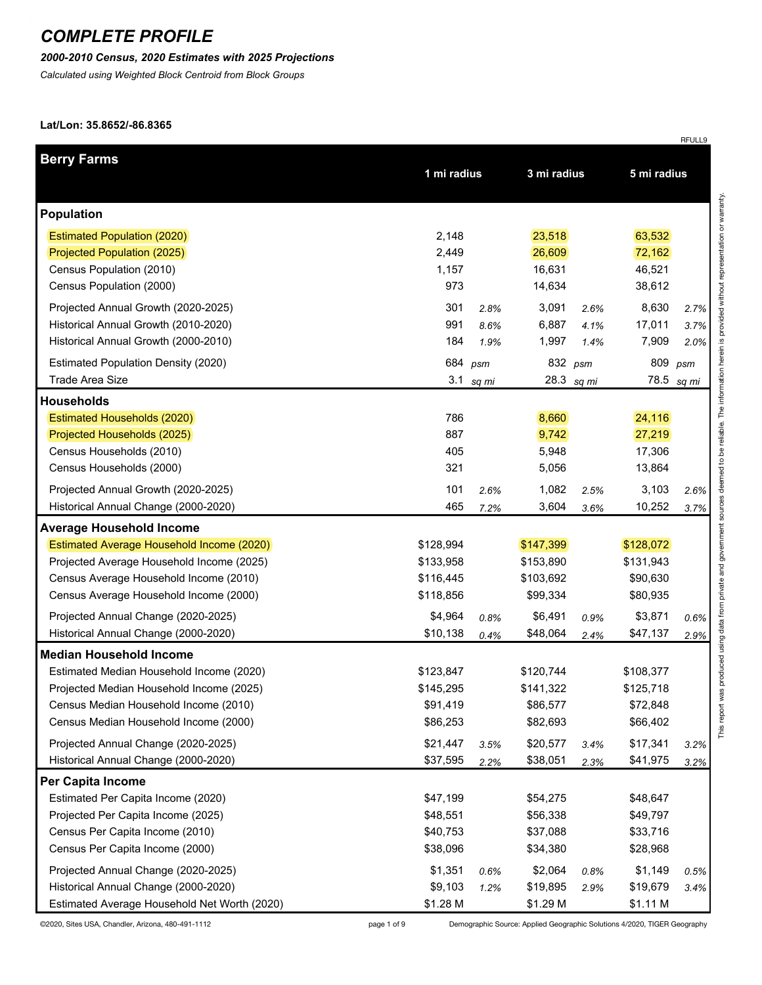#### *2000-2010 Census, 2020 Estimates with 2025 Projections*

*Calculated using Weighted Block Centroid from Block Groups*

#### **Lat/Lon: 35.8652/-86.8365**

| <b>Berry Farms</b>                           |             |         |             |            |             |       |
|----------------------------------------------|-------------|---------|-------------|------------|-------------|-------|
|                                              | 1 mi radius |         | 3 mi radius |            | 5 mi radius |       |
| <b>Population</b>                            |             |         |             |            |             |       |
| <b>Estimated Population (2020)</b>           | 2,148       |         | 23,518      |            | 63,532      |       |
| Projected Population (2025)                  | 2,449       |         | 26,609      |            | 72,162      |       |
| Census Population (2010)                     | 1,157       |         | 16,631      |            | 46,521      |       |
| Census Population (2000)                     | 973         |         | 14,634      |            | 38,612      |       |
| Projected Annual Growth (2020-2025)          | 301         | 2.8%    | 3,091       | 2.6%       | 8,630       | 2.7%  |
| Historical Annual Growth (2010-2020)         | 991         | 8.6%    | 6,887       | 4.1%       | 17,011      | 3.7%  |
| Historical Annual Growth (2000-2010)         | 184         | 1.9%    | 1,997       | 1.4%       | 7,909       | 2.0%  |
| <b>Estimated Population Density (2020)</b>   |             | 684 psm | 832 psm     |            | 809         | psm   |
| Trade Area Size                              | 3.1         | sq mi   |             | 28.3 sq mi | 78.5        | sq mi |
| <b>Households</b>                            |             |         |             |            |             |       |
| Estimated Households (2020)                  | 786         |         | 8,660       |            | 24,116      |       |
| Projected Households (2025)                  | 887         |         | 9,742       |            | 27,219      |       |
| Census Households (2010)                     | 405         |         | 5,948       |            | 17,306      |       |
| Census Households (2000)                     | 321         |         | 5,056       |            | 13,864      |       |
| Projected Annual Growth (2020-2025)          | 101         | 2.6%    | 1,082       | 2.5%       | 3,103       | 2.6%  |
| Historical Annual Change (2000-2020)         | 465         | 7.2%    | 3,604       | 3.6%       | 10,252      | 3.7%  |
| <b>Average Household Income</b>              |             |         |             |            |             |       |
| Estimated Average Household Income (2020)    | \$128,994   |         | \$147,399   |            | \$128,072   |       |
| Projected Average Household Income (2025)    | \$133,958   |         | \$153,890   |            | \$131,943   |       |
| Census Average Household Income (2010)       | \$116,445   |         | \$103,692   |            | \$90,630    |       |
| Census Average Household Income (2000)       | \$118,856   |         | \$99,334    |            | \$80,935    |       |
| Projected Annual Change (2020-2025)          | \$4,964     | 0.8%    | \$6,491     | 0.9%       | \$3,871     | 0.6%  |
| Historical Annual Change (2000-2020)         | \$10,138    | 0.4%    | \$48,064    | 2.4%       | \$47,137    | 2.9%  |
| <b>Median Household Income</b>               |             |         |             |            |             |       |
| Estimated Median Household Income (2020)     | \$123,847   |         | \$120,744   |            | \$108,377   |       |
| Projected Median Household Income (2025)     | \$145,295   |         | \$141,322   |            | \$125,718   |       |
| Census Median Household Income (2010)        | \$91,419    |         | \$86,577    |            | \$72,848    |       |
| Census Median Household Income (2000)        | \$86,253    |         | \$82,693    |            | \$66,402    |       |
| Projected Annual Change (2020-2025)          | \$21,447    | 3.5%    | \$20,577    | 3.4%       | \$17,341    | 3.2%  |
| Historical Annual Change (2000-2020)         | \$37,595    | 2.2%    | \$38,051    | 2.3%       | \$41,975    | 3.2%  |
| Per Capita Income                            |             |         |             |            |             |       |
| Estimated Per Capita Income (2020)           | \$47,199    |         | \$54,275    |            | \$48,647    |       |
| Projected Per Capita Income (2025)           | \$48,551    |         | \$56,338    |            | \$49,797    |       |
| Census Per Capita Income (2010)              | \$40,753    |         | \$37,088    |            | \$33,716    |       |
| Census Per Capita Income (2000)              | \$38,096    |         | \$34,380    |            | \$28,968    |       |
| Projected Annual Change (2020-2025)          | \$1,351     | 0.6%    | \$2,064     | 0.8%       | \$1,149     | 0.5%  |
| Historical Annual Change (2000-2020)         | \$9,103     | 1.2%    | \$19,895    | 2.9%       | \$19,679    | 3.4%  |
| Estimated Average Household Net Worth (2020) | \$1.28 M    |         | \$1.29 M    |            | \$1.11 M    |       |

©2020, Sites USA, Chandler, Arizona, 480-491-1112 page 1 of 9 Demographic Source: Applied Geographic Solutions 4/2020, TIGER Geography

RFULL9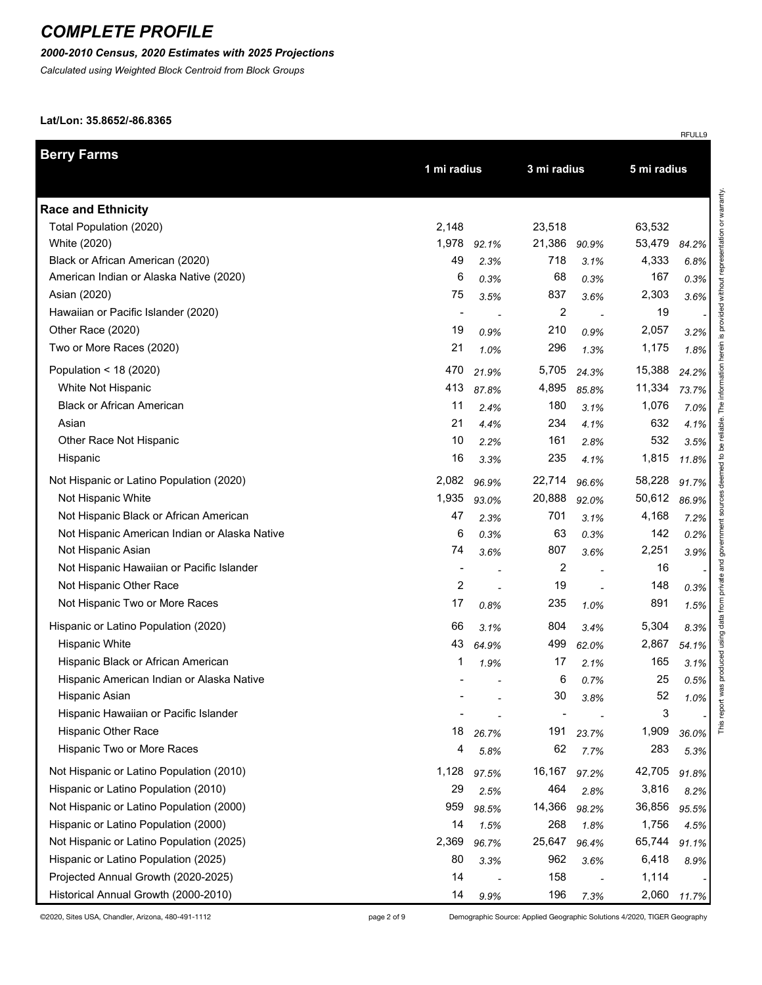## *2000-2010 Census, 2020 Estimates with 2025 Projections*

*Calculated using Weighted Block Centroid from Block Groups*

#### **Lat/Lon: 35.8652/-86.8365**

|                                               |                |             |        |                            |        | RFULL9 |  |  |
|-----------------------------------------------|----------------|-------------|--------|----------------------------|--------|--------|--|--|
| <b>Berry Farms</b>                            |                | 1 mi radius |        | 3 mi radius<br>5 mi radius |        |        |  |  |
| <b>Race and Ethnicity</b>                     |                |             |        |                            |        |        |  |  |
| Total Population (2020)                       | 2,148          |             | 23,518 |                            | 63,532 |        |  |  |
| White (2020)                                  | 1,978          | 92.1%       | 21,386 | 90.9%                      | 53,479 | 84.2%  |  |  |
| Black or African American (2020)              | 49             | 2.3%        | 718    | 3.1%                       | 4,333  | 6.8%   |  |  |
| American Indian or Alaska Native (2020)       | 6              | 0.3%        | 68     | 0.3%                       | 167    | 0.3%   |  |  |
| Asian (2020)                                  | 75             | 3.5%        | 837    | 3.6%                       | 2,303  | 3.6%   |  |  |
| Hawaiian or Pacific Islander (2020)           | $\blacksquare$ |             | 2      |                            | 19     |        |  |  |
| Other Race (2020)                             | 19             | 0.9%        | 210    | 0.9%                       | 2,057  | 3.2%   |  |  |
| Two or More Races (2020)                      | 21             | 1.0%        | 296    | 1.3%                       | 1,175  | 1.8%   |  |  |
| Population < 18 (2020)                        | 470            | 21.9%       | 5,705  | 24.3%                      | 15,388 | 24.2%  |  |  |
| White Not Hispanic                            | 413            | 87.8%       | 4,895  | 85.8%                      | 11,334 | 73.7%  |  |  |
| <b>Black or African American</b>              | 11             | 2.4%        | 180    | 3.1%                       | 1,076  | 7.0%   |  |  |
| Asian                                         | 21             | 4.4%        | 234    | 4.1%                       | 632    | 4.1%   |  |  |
| Other Race Not Hispanic                       | 10             | 2.2%        | 161    | 2.8%                       | 532    | 3.5%   |  |  |
| Hispanic                                      | 16             | 3.3%        | 235    | 4.1%                       | 1,815  | 11.8%  |  |  |
| Not Hispanic or Latino Population (2020)      | 2,082          | 96.9%       | 22,714 | 96.6%                      | 58,228 | 91.7%  |  |  |
| Not Hispanic White                            | 1,935          | 93.0%       | 20,888 | 92.0%                      | 50,612 | 86.9%  |  |  |
| Not Hispanic Black or African American        | 47             | 2.3%        | 701    | 3.1%                       | 4,168  | 7.2%   |  |  |
| Not Hispanic American Indian or Alaska Native | 6              | 0.3%        | 63     | 0.3%                       | 142    | 0.2%   |  |  |
| Not Hispanic Asian                            | 74             | 3.6%        | 807    | 3.6%                       | 2,251  | 3.9%   |  |  |
| Not Hispanic Hawaiian or Pacific Islander     | $\blacksquare$ |             | 2      |                            | 16     |        |  |  |
| Not Hispanic Other Race                       | $\overline{c}$ |             | 19     |                            | 148    | 0.3%   |  |  |
| Not Hispanic Two or More Races                | 17             | 0.8%        | 235    | 1.0%                       | 891    | 1.5%   |  |  |
| Hispanic or Latino Population (2020)          | 66             | 3.1%        | 804    | 3.4%                       | 5,304  | 8.3%   |  |  |
| <b>Hispanic White</b>                         | 43             | 64.9%       | 499    | 62.0%                      | 2,867  | 54.1%  |  |  |
| Hispanic Black or African American            | 1              | 1.9%        | 17     | 2.1%                       | 165    | 3.1%   |  |  |
| Hispanic American Indian or Alaska Native     |                |             | 6      | 0.7%                       | 25     | 0.5%   |  |  |
| Hispanic Asian                                |                |             | $30\,$ | 3.8%                       | 52     | 1.0%   |  |  |
| Hispanic Hawaiian or Pacific Islander         |                |             |        |                            | 3      |        |  |  |
| Hispanic Other Race                           | 18             | 26.7%       | 191    | 23.7%                      | 1,909  | 36.0%  |  |  |
| Hispanic Two or More Races                    | 4              | 5.8%        | 62     | 7.7%                       | 283    | 5.3%   |  |  |
| Not Hispanic or Latino Population (2010)      | 1,128          | 97.5%       | 16,167 | 97.2%                      | 42,705 | 91.8%  |  |  |
| Hispanic or Latino Population (2010)          | 29             | 2.5%        | 464    | 2.8%                       | 3,816  | 8.2%   |  |  |
| Not Hispanic or Latino Population (2000)      | 959            | 98.5%       | 14,366 | 98.2%                      | 36,856 | 95.5%  |  |  |
| Hispanic or Latino Population (2000)          | 14             | 1.5%        | 268    | 1.8%                       | 1,756  | 4.5%   |  |  |
| Not Hispanic or Latino Population (2025)      | 2,369          | 96.7%       | 25,647 | 96.4%                      | 65,744 | 91.1%  |  |  |
| Hispanic or Latino Population (2025)          | 80             | 3.3%        | 962    | 3.6%                       | 6,418  | 8.9%   |  |  |
| Projected Annual Growth (2020-2025)           | 14             |             | 158    |                            | 1,114  |        |  |  |
| Historical Annual Growth (2000-2010)          | 14             | 9.9%        | 196    | 7.3%                       | 2,060  | 11.7%  |  |  |

©2020, Sites USA, Chandler, Arizona, 480-491-1112 page 2 of 9 Demographic Source: Applied Geographic Solutions 4/2020, TIGER Geography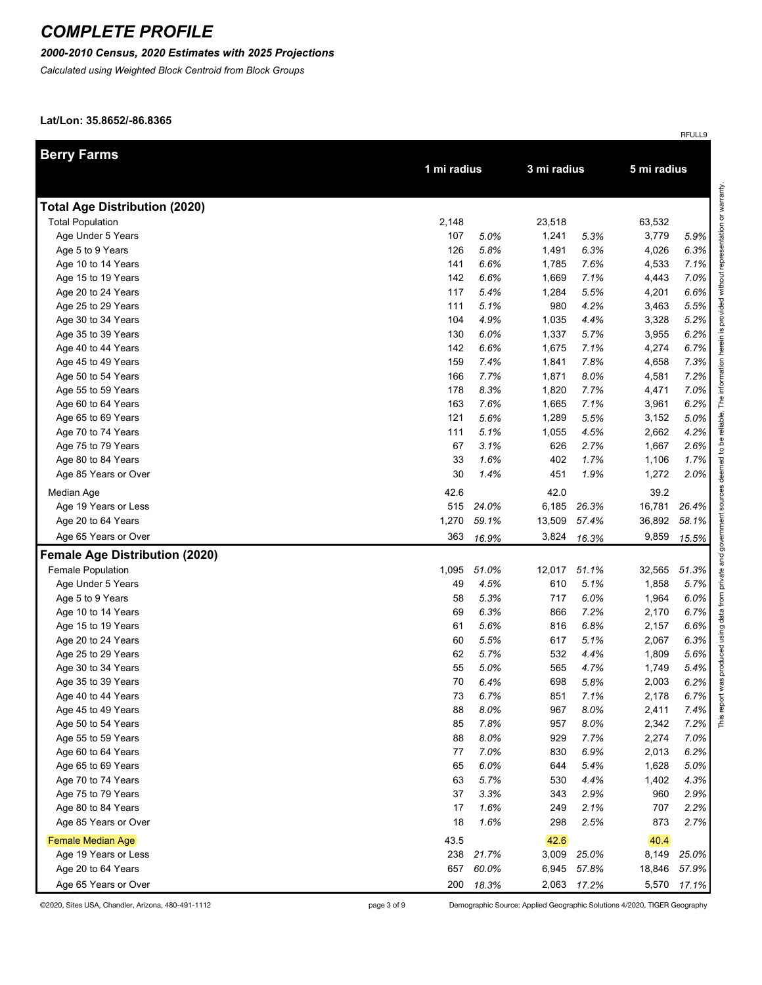## *2000-2010 Census, 2020 Estimates with 2025 Projections*

*Calculated using Weighted Block Centroid from Block Groups*

#### **Lat/Lon: 35.8652/-86.8365**

| <b>Berry Farms</b>                       |             |              |                |              |                |              |
|------------------------------------------|-------------|--------------|----------------|--------------|----------------|--------------|
|                                          | 1 mi radius |              | 3 mi radius    |              | 5 mi radius    |              |
|                                          |             |              |                |              |                |              |
| <b>Total Age Distribution (2020)</b>     |             |              |                |              |                |              |
| <b>Total Population</b>                  | 2,148       |              | 23,518         |              | 63,532         |              |
| Age Under 5 Years                        | 107         | 5.0%         | 1,241          | 5.3%         | 3,779          | 5.9%         |
| Age 5 to 9 Years                         | 126         | 5.8%         | 1,491          | 6.3%         | 4,026          | 6.3%         |
| Age 10 to 14 Years<br>Age 15 to 19 Years | 141<br>142  | 6.6%<br>6.6% | 1,785          | 7.6%         | 4,533          | 7.1%         |
| Age 20 to 24 Years                       | 117         | 5.4%         | 1,669<br>1,284 | 7.1%<br>5.5% | 4,443<br>4,201 | 7.0%<br>6.6% |
| Age 25 to 29 Years                       | 111         | 5.1%         | 980            | 4.2%         | 3,463          | 5.5%         |
| Age 30 to 34 Years                       | 104         | 4.9%         | 1,035          | 4.4%         | 3,328          | 5.2%         |
| Age 35 to 39 Years                       | 130         | 6.0%         | 1,337          | 5.7%         | 3,955          | 6.2%         |
| Age 40 to 44 Years                       | 142         | 6.6%         | 1,675          | 7.1%         | 4,274          | 6.7%         |
| Age 45 to 49 Years                       | 159         | 7.4%         | 1,841          | 7.8%         | 4,658          | 7.3%         |
| Age 50 to 54 Years                       | 166         | 7.7%         | 1,871          | 8.0%         | 4,581          | 7.2%         |
| Age 55 to 59 Years                       | 178         | 8.3%         | 1,820          | 7.7%         | 4,471          | 7.0%         |
| Age 60 to 64 Years                       | 163         | 7.6%         | 1,665          | 7.1%         | 3,961          | 6.2%         |
| Age 65 to 69 Years                       | 121         | 5.6%         | 1,289          | 5.5%         | 3,152          | 5.0%         |
| Age 70 to 74 Years                       | 111         | 5.1%         | 1,055          | 4.5%         | 2,662          | 4.2%         |
| Age 75 to 79 Years                       | 67          | 3.1%         | 626            | 2.7%         | 1,667          | 2.6%         |
| Age 80 to 84 Years                       | 33          | 1.6%         | 402            | 1.7%         | 1,106          | 1.7%         |
| Age 85 Years or Over                     | 30          | 1.4%         | 451            | 1.9%         | 1,272          | 2.0%         |
| Median Age                               | 42.6        |              | 42.0           |              | 39.2           |              |
| Age 19 Years or Less                     | 515         | 24.0%        | 6,185          | 26.3%        | 16,781         | 26.4%        |
| Age 20 to 64 Years                       | 1,270       | 59.1%        | 13,509         | 57.4%        | 36,892         | 58.1%        |
| Age 65 Years or Over                     | 363         | 16.9%        | 3,824          | 16.3%        | 9,859          | 15.5%        |
| <b>Female Age Distribution (2020)</b>    |             |              |                |              |                |              |
| <b>Female Population</b>                 | 1,095       | 51.0%        | 12,017         | 51.1%        | 32,565         | 51.3%        |
| Age Under 5 Years                        | 49          | 4.5%         | 610            | 5.1%         | 1,858          | 5.7%         |
| Age 5 to 9 Years                         | 58          | 5.3%         | 717            | 6.0%         | 1,964          | 6.0%         |
| Age 10 to 14 Years                       | 69          | 6.3%         | 866            | 7.2%         | 2,170          | 6.7%         |
| Age 15 to 19 Years                       | 61          | 5.6%         | 816            | 6.8%         | 2,157          | 6.6%         |
| Age 20 to 24 Years                       | 60          | 5.5%         | 617            | 5.1%         | 2,067          | 6.3%         |
| Age 25 to 29 Years                       | 62          | 5.7%         | 532            | 4.4%         | 1,809          | 5.6%         |
| Age 30 to 34 Years                       | 55          | 5.0%         | 565            | 4.7%         | 1,749          | 5.4%         |
| Age 35 to 39 Years                       | 70          | 6.4%         | 698            | 5.8%         | 2,003          | 6.2%         |
| Age 40 to 44 Years                       | 73          | 6.7%         | 851            | 7.1%         | 2,178          | 6.7%         |
| Age 45 to 49 Years                       | 88          | 8.0%         | 967            | 8.0%         | 2,411          | 7.4%         |
| Age 50 to 54 Years                       | 85          | 7.8%         | 957            | 8.0%         | 2,342          | 7.2%         |
| Age 55 to 59 Years                       | 88          | 8.0%         | 929            | 7.7%         | 2,274          | 7.0%         |
| Age 60 to 64 Years                       | 77          | 7.0%         | 830            | 6.9%         | 2,013          | 6.2%         |
| Age 65 to 69 Years                       | 65          | 6.0%         | 644            | 5.4%         | 1,628          | 5.0%         |
| Age 70 to 74 Years                       | 63          | 5.7%         | 530            | 4.4%         | 1,402          | 4.3%         |
| Age 75 to 79 Years                       | 37          | 3.3%         | 343            | 2.9%         | 960            | 2.9%         |
| Age 80 to 84 Years                       | 17          | 1.6%         | 249            | 2.1%         | 707            | 2.2%         |
| Age 85 Years or Over                     | 18          | 1.6%         | 298            | 2.5%         | 873            | 2.7%         |
| <b>Female Median Age</b>                 | 43.5        |              | 42.6           |              | 40.4           |              |
| Age 19 Years or Less                     | 238         | 21.7%        | 3,009          | 25.0%        | 8,149          | 25.0%        |
| Age 20 to 64 Years                       | 657         | 60.0%        | 6,945          | 57.8%        | 18,846         | 57.9%        |
| Age 65 Years or Over                     | 200         | 18.3%        | 2,063          | 17.2%        | 5,570          | 17.1%        |

©2020, Sites USA, Chandler, Arizona, 480-491-1112 page 3 of 9 Demographic Source: Applied Geographic Solutions 4/2020, TIGER Geography

RFULL9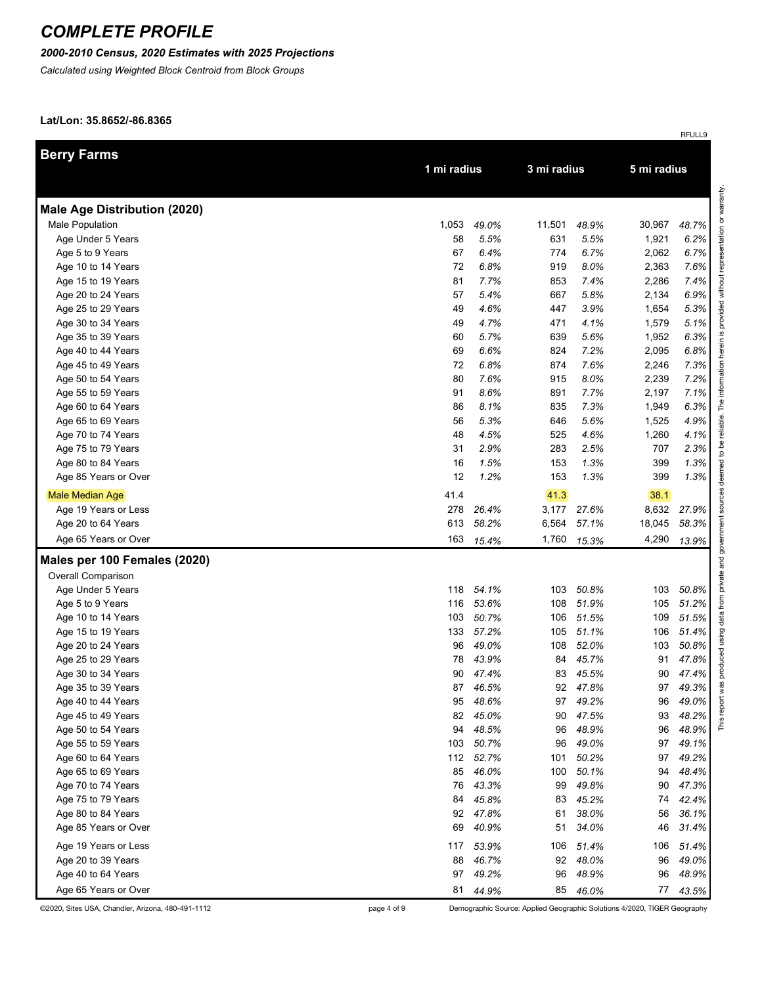## *2000-2010 Census, 2020 Estimates with 2025 Projections*

*Calculated using Weighted Block Centroid from Block Groups*

#### **Lat/Lon: 35.8652/-86.8365**

|                                     |       |             |        |             |             | RFULL9   |
|-------------------------------------|-------|-------------|--------|-------------|-------------|----------|
| <b>Berry Farms</b>                  |       |             |        |             |             |          |
|                                     |       | 1 mi radius |        | 3 mi radius | 5 mi radius |          |
| <b>Male Age Distribution (2020)</b> |       |             |        |             |             |          |
| Male Population                     | 1,053 | 49.0%       | 11,501 | 48.9%       | 30,967      | 48.7%    |
| Age Under 5 Years                   | 58    | 5.5%        | 631    | 5.5%        | 1,921       | 6.2%     |
| Age 5 to 9 Years                    | 67    | 6.4%        | 774    | 6.7%        | 2,062       | 6.7%     |
| Age 10 to 14 Years                  | 72    | 6.8%        | 919    | 8.0%        | 2,363       | 7.6%     |
| Age 15 to 19 Years                  | 81    | 7.7%        | 853    | 7.4%        | 2,286       | 7.4%     |
| Age 20 to 24 Years                  | 57    | 5.4%        | 667    | 5.8%        | 2,134       | 6.9%     |
| Age 25 to 29 Years                  | 49    | 4.6%        | 447    | 3.9%        | 1,654       | 5.3%     |
| Age 30 to 34 Years                  | 49    | 4.7%        | 471    | 4.1%        | 1,579       | 5.1%     |
| Age 35 to 39 Years                  | 60    | 5.7%        | 639    | 5.6%        | 1,952       | 6.3%     |
| Age 40 to 44 Years                  | 69    | 6.6%        | 824    | 7.2%        | 2,095       | 6.8%     |
| Age 45 to 49 Years                  | 72    | 6.8%        | 874    | 7.6%        | 2,246       | 7.3%     |
| Age 50 to 54 Years                  | 80    | 7.6%        | 915    | 8.0%        | 2,239       | 7.2%     |
| Age 55 to 59 Years                  | 91    | 8.6%        | 891    | 7.7%        | 2,197       | 7.1%     |
| Age 60 to 64 Years                  | 86    | 8.1%        | 835    | 7.3%        | 1,949       | 6.3%     |
| Age 65 to 69 Years                  | 56    | 5.3%        | 646    | 5.6%        | 1,525       | 4.9%     |
| Age 70 to 74 Years                  | 48    | 4.5%        | 525    | 4.6%        | 1,260       | 4.1%     |
| Age 75 to 79 Years                  | 31    | 2.9%        | 283    | 2.5%        | 707         | 2.3%     |
| Age 80 to 84 Years                  | 16    | 1.5%        | 153    | 1.3%        | 399         | 1.3%     |
| Age 85 Years or Over                | 12    | 1.2%        | 153    | 1.3%        | 399         | 1.3%     |
| Male Median Age                     | 41.4  |             | 41.3   |             | 38.1        |          |
| Age 19 Years or Less                | 278   | 26.4%       | 3,177  | 27.6%       | 8,632       | 27.9%    |
| Age 20 to 64 Years                  | 613   | 58.2%       | 6,564  | 57.1%       | 18,045      | 58.3%    |
| Age 65 Years or Over                | 163   | 15.4%       | 1,760  | 15.3%       | 4,290       | 13.9%    |
| Males per 100 Females (2020)        |       |             |        |             |             |          |
| Overall Comparison                  |       |             |        |             |             |          |
| Age Under 5 Years                   | 118   | 54.1%       | 103    | 50.8%       | 103         | 50.8%    |
| Age 5 to 9 Years                    | 116   | 53.6%       | 108    | 51.9%       | 105         | 51.2%    |
| Age 10 to 14 Years                  | 103   | 50.7%       | 106    | 51.5%       | 109         | 51.5%    |
| Age 15 to 19 Years                  | 133   | 57.2%       | 105    | 51.1%       | 106         | 51.4%    |
| Age 20 to 24 Years                  | 96    | 49.0%       | 108    | 52.0%       | 103         | 50.8%    |
| Age 25 to 29 Years                  | 78    | 43.9%       | 84     | 45.7%       | 91          | 47.8%    |
| Age 30 to 34 Years                  | 90    | 47.4%       | 83     | 45.5%       | 90          | 47.4%    |
| Age 35 to 39 Years                  |       | 87 46.5%    | 92     | 47.8%       |             | 97 49.3% |
| Age 40 to 44 Years                  | 95    | 48.6%       | 97     | 49.2%       | 96          | 49.0%    |
| Age 45 to 49 Years                  | 82    | 45.0%       | 90     | 47.5%       | 93          | 48.2%    |
| Age 50 to 54 Years                  | 94    | 48.5%       | 96     | 48.9%       | 96          | 48.9%    |
| Age 55 to 59 Years                  |       | 103 50.7%   | 96     | 49.0%       | 97          | 49.1%    |
| Age 60 to 64 Years                  |       | 112 52.7%   | 101    | 50.2%       | 97          | 49.2%    |
| Age 65 to 69 Years                  | 85    | 46.0%       | 100    | 50.1%       | 94          | 48.4%    |
| Age 70 to 74 Years                  | 76    | 43.3%       | 99     | 49.8%       | 90          | 47.3%    |
| Age 75 to 79 Years                  | 84    | 45.8%       | 83     | 45.2%       | 74          | 42.4%    |
| Age 80 to 84 Years                  | 92    | 47.8%       | 61     | 38.0%       | 56          | 36.1%    |
| Age 85 Years or Over                | 69    | 40.9%       | 51     | 34.0%       | 46          | 31.4%    |
| Age 19 Years or Less                | 117   | 53.9%       | 106    | 51.4%       | 106         | 51.4%    |
| Age 20 to 39 Years                  | 88    | 46.7%       | 92     | 48.0%       | 96          | 49.0%    |
| Age 40 to 64 Years                  | 97    | 49.2%       | 96     | 48.9%       | 96          | 48.9%    |
| Age 65 Years or Over                | 81    | 44.9%       | 85     | 46.0%       | 77          | 43.5%    |

©2020, Sites USA, Chandler, Arizona, 480-491-1112 page 4 of 9 Demographic Source: Applied Geographic Solutions 4/2020, TIGER Geography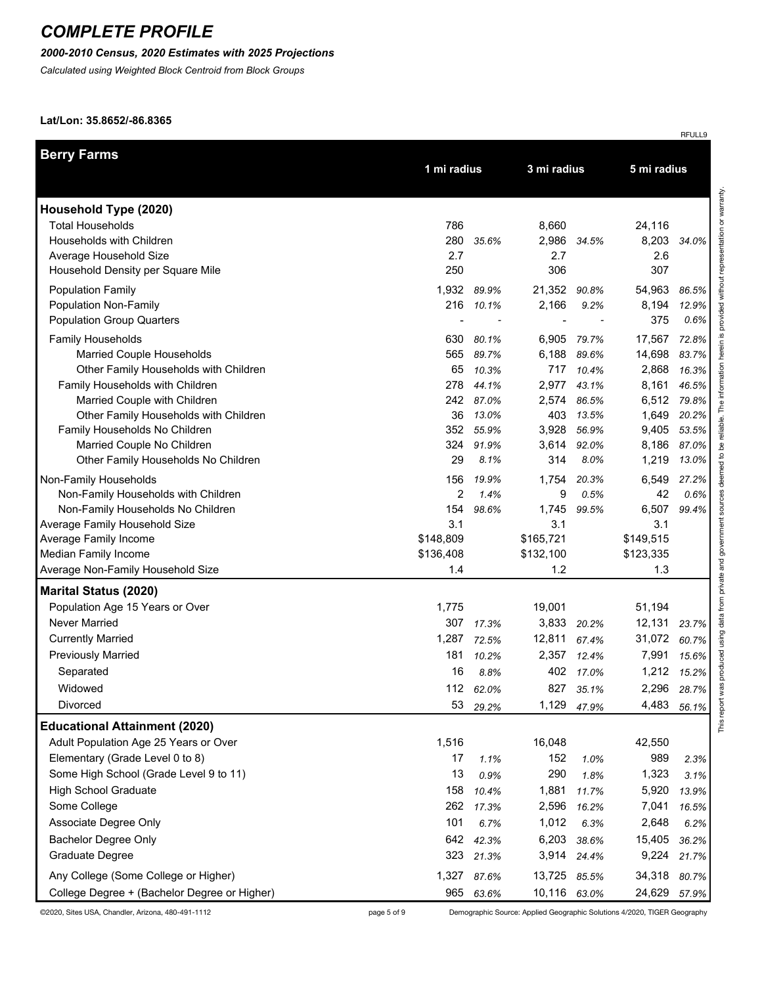## *2000-2010 Census, 2020 Estimates with 2025 Projections*

*Calculated using Weighted Block Centroid from Block Groups*

#### **Lat/Lon: 35.8652/-86.8365**

|                                                                       |           |                    |                |                            |           | RFULL9               |  |  |
|-----------------------------------------------------------------------|-----------|--------------------|----------------|----------------------------|-----------|----------------------|--|--|
| <b>Berry Farms</b>                                                    |           | 1 mi radius        |                | 3 mi radius<br>5 mi radius |           |                      |  |  |
| Household Type (2020)                                                 |           |                    |                |                            |           |                      |  |  |
| <b>Total Households</b>                                               | 786       |                    | 8,660          |                            | 24,116    |                      |  |  |
| Households with Children                                              | 280       | 35.6%              |                | 2,986 34.5%                | 8,203     | 34.0%                |  |  |
| Average Household Size                                                | 2.7       |                    | 2.7            |                            | 2.6       |                      |  |  |
| Household Density per Square Mile                                     | 250       |                    | 306            |                            | 307       |                      |  |  |
|                                                                       | 1,932     | 89.9%              | 21,352         | 90.8%                      | 54,963    | 86.5%                |  |  |
| <b>Population Family</b><br>Population Non-Family                     | 216       | 10.1%              | 2,166          | 9.2%                       | 8,194     | 12.9%                |  |  |
| <b>Population Group Quarters</b>                                      |           |                    | $\blacksquare$ |                            | 375       | 0.6%                 |  |  |
|                                                                       |           |                    |                |                            |           |                      |  |  |
| Family Households                                                     | 630       | 80.1%              | 6,905          | 79.7%                      | 17,567    | 72.8%                |  |  |
| Married Couple Households                                             | 565       | 89.7%              | 6,188          | 89.6%                      | 14,698    | 83.7%                |  |  |
| Other Family Households with Children                                 | 65        | 10.3%              | 717            | 10.4%                      | 2,868     | 16.3%                |  |  |
| Family Households with Children                                       | 278       | 44.1%              | 2,977          | 43.1%                      | 8,161     | 46.5%                |  |  |
| Married Couple with Children<br>Other Family Households with Children | 36        | 242 87.0%<br>13.0% | 2,574<br>403   | 86.5%<br>13.5%             | 1,649     | 6,512 79.8%<br>20.2% |  |  |
| Family Households No Children                                         | 352       | 55.9%              | 3,928          | 56.9%                      | 9,405     | 53.5%                |  |  |
| Married Couple No Children                                            | 324       | 91.9%              |                | 3,614 92.0%                | 8,186     | 87.0%                |  |  |
| Other Family Households No Children                                   | 29        | 8.1%               | 314            | 8.0%                       | 1,219     | 13.0%                |  |  |
| Non-Family Households                                                 | 156       | 19.9%              | 1,754          | 20.3%                      | 6,549     | 27.2%                |  |  |
| Non-Family Households with Children                                   | 2         | 1.4%               | 9              | 0.5%                       | 42        | 0.6%                 |  |  |
| Non-Family Households No Children                                     | 154       | 98.6%              | 1,745          | 99.5%                      | 6,507     | 99.4%                |  |  |
| Average Family Household Size                                         | 3.1       |                    | 3.1            |                            | 3.1       |                      |  |  |
| Average Family Income                                                 | \$148,809 |                    | \$165,721      |                            | \$149,515 |                      |  |  |
| Median Family Income                                                  | \$136,408 |                    | \$132,100      |                            | \$123,335 |                      |  |  |
| Average Non-Family Household Size                                     | 1.4       |                    | 1.2            |                            | 1.3       |                      |  |  |
| <b>Marital Status (2020)</b>                                          |           |                    |                |                            |           |                      |  |  |
| Population Age 15 Years or Over                                       | 1,775     |                    | 19,001         |                            | 51,194    |                      |  |  |
| <b>Never Married</b>                                                  | 307       | 17.3%              | 3,833          | 20.2%                      | 12,131    | 23.7%                |  |  |
| <b>Currently Married</b>                                              | 1,287     | 72.5%              | 12,811         | 67.4%                      | 31,072    | 60.7%                |  |  |
| <b>Previously Married</b>                                             | 181       | 10.2%              | 2,357          | 12.4%                      | 7,991     | 15.6%                |  |  |
| Separated                                                             | 16        | 8.8%               |                | 402 17.0%                  |           | 1,212 15.2%          |  |  |
| Widowed                                                               | 112       | 62.0%              | 827            | 35.1%                      | 2,296     | 28.7%                |  |  |
| <b>Divorced</b>                                                       | 53        | 29.2%              | 1,129          | 47.9%                      | 4,483     | 56.1%                |  |  |
| <b>Educational Attainment (2020)</b>                                  |           |                    |                |                            |           |                      |  |  |
| Adult Population Age 25 Years or Over                                 | 1,516     |                    | 16,048         |                            | 42,550    |                      |  |  |
| Elementary (Grade Level 0 to 8)                                       | 17        | 1.1%               | 152            | 1.0%                       | 989       | 2.3%                 |  |  |
| Some High School (Grade Level 9 to 11)                                | 13        | 0.9%               | 290            | 1.8%                       | 1,323     | 3.1%                 |  |  |
| <b>High School Graduate</b>                                           | 158       | 10.4%              | 1,881          | 11.7%                      | 5,920     | 13.9%                |  |  |
| Some College                                                          | 262       | 17.3%              | 2,596          | 16.2%                      | 7,041     | 16.5%                |  |  |
| Associate Degree Only                                                 | 101       | 6.7%               | 1,012          | 6.3%                       | 2,648     | 6.2%                 |  |  |
| <b>Bachelor Degree Only</b>                                           | 642       | 42.3%              | 6,203          | 38.6%                      | 15,405    | 36.2%                |  |  |
| Graduate Degree                                                       | 323       | 21.3%              | 3,914          | 24.4%                      | 9,224     | 21.7%                |  |  |
| Any College (Some College or Higher)                                  | 1,327     | 87.6%              | 13,725 85.5%   |                            | 34,318    | 80.7%                |  |  |
| College Degree + (Bachelor Degree or Higher)                          | 965       | 63.6%              | 10,116 63.0%   |                            | 24,629    | 57.9%                |  |  |

©2020, Sites USA, Chandler, Arizona, 480-491-1112 page 5 of 9 Demographic Source: Applied Geographic Solutions 4/2020, TIGER Geography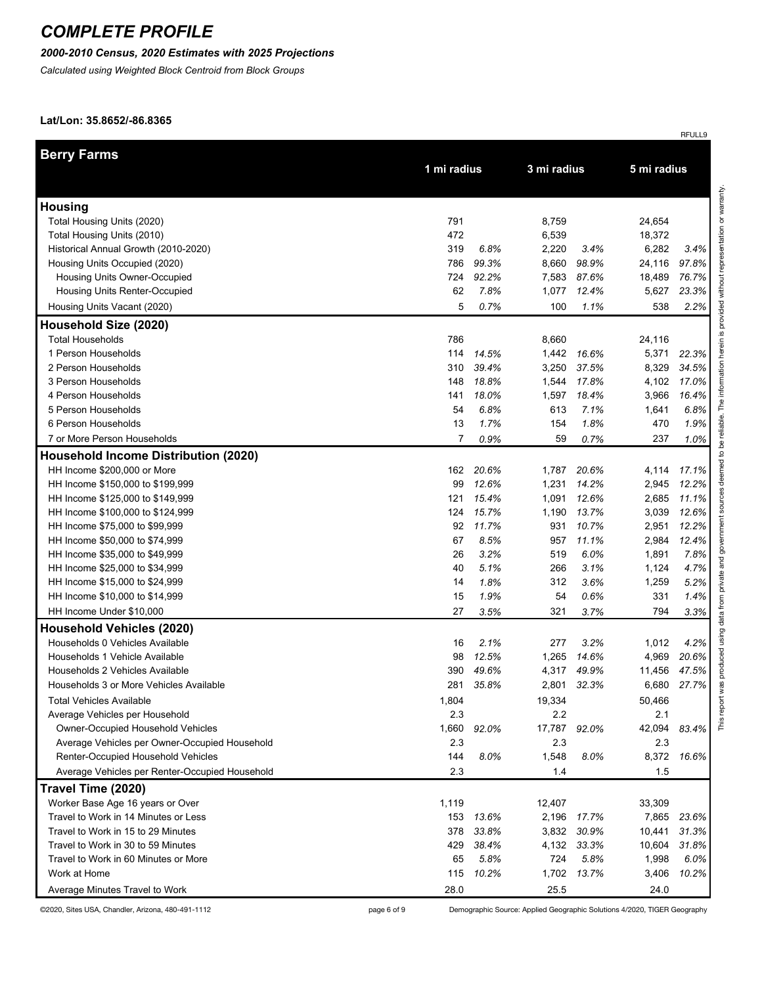### *2000-2010 Census, 2020 Estimates with 2025 Projections*

*Calculated using Weighted Block Centroid from Block Groups*

#### **Lat/Lon: 35.8652/-86.8365**

|                                                                            |            |               |              |                      |                  | RFULL9        |
|----------------------------------------------------------------------------|------------|---------------|--------------|----------------------|------------------|---------------|
| <b>Berry Farms</b>                                                         |            |               |              |                      |                  |               |
|                                                                            |            | 1 mi radius   |              | 3 mi radius          | 5 mi radius      |               |
| <b>Housing</b>                                                             |            |               |              |                      |                  |               |
| Total Housing Units (2020)                                                 | 791        |               | 8,759        |                      | 24,654           |               |
| Total Housing Units (2010)                                                 | 472        |               | 6,539        |                      | 18,372           |               |
| Historical Annual Growth (2010-2020)                                       | 319        | 6.8%          | 2,220        | 3.4%                 | 6,282            | 3.4%          |
| Housing Units Occupied (2020)                                              | 786        | 99.3%         | 8,660        | 98.9%                | 24,116           | 97.8%         |
| Housing Units Owner-Occupied                                               | 724        | 92.2%         | 7,583        | 87.6%                | 18,489           | 76.7%         |
| Housing Units Renter-Occupied                                              | 62         | 7.8%          | 1,077        | 12.4%                | 5,627            | 23.3%         |
| Housing Units Vacant (2020)                                                | 5          | 0.7%          | 100          | 1.1%                 | 538              | 2.2%          |
| Household Size (2020)                                                      |            |               |              |                      |                  |               |
| <b>Total Households</b>                                                    | 786        |               | 8,660        |                      | 24,116           |               |
| 1 Person Households                                                        | 114        | 14.5%         | 1,442        | 16.6%                | 5,371            | 22.3%         |
| 2 Person Households                                                        | 310        | 39.4%         | 3,250        | 37.5%                | 8,329            | 34.5%         |
| 3 Person Households                                                        | 148        | 18.8%         | 1,544        | 17.8%                | 4,102            | 17.0%         |
| 4 Person Households                                                        | 141        | 18.0%         | 1,597        | 18.4%                | 3,966            | 16.4%         |
| 5 Person Households                                                        | 54         | 6.8%          | 613          | 7.1%                 | 1,641            | 6.8%          |
| 6 Person Households                                                        | 13         | 1.7%          | 154          | 1.8%                 | 470              | 1.9%          |
| 7 or More Person Households                                                | 7          | 0.9%          | 59           | 0.7%                 | 237              | 1.0%          |
| <b>Household Income Distribution (2020)</b>                                |            |               |              |                      |                  |               |
| HH Income \$200,000 or More                                                | 162        | 20.6%         | 1,787        | 20.6%                | 4,114            | 17.1%         |
| HH Income \$150,000 to \$199,999                                           | 99         | 12.6%         | 1,231        | 14.2%                | 2,945            | 12.2%         |
| HH Income \$125,000 to \$149,999                                           | 121        | 15.4%         | 1,091        | 12.6%                | 2,685            | 11.1%         |
| HH Income \$100,000 to \$124,999                                           | 124        | 15.7%         | 1,190        | 13.7%                | 3,039            | 12.6%         |
| HH Income \$75,000 to \$99,999                                             | 92         | 11.7%         | 931          | 10.7%                | 2,951            | 12.2%         |
| HH Income \$50,000 to \$74,999                                             | 67         | 8.5%          | 957          | 11.1%                | 2,984            | 12.4%         |
| HH Income \$35,000 to \$49,999                                             | 26         | 3.2%          | 519          | 6.0%                 | 1,891            | 7.8%          |
| HH Income \$25,000 to \$34,999                                             | 40         | 5.1%          | 266          | 3.1%                 | 1,124            | 4.7%          |
| HH Income \$15,000 to \$24,999                                             | 14         | 1.8%          | 312          | 3.6%                 | 1,259            | 5.2%          |
| HH Income \$10,000 to \$14,999                                             | 15         | 1.9%          | 54           | 0.6%                 | 331              | 1.4%          |
| HH Income Under \$10,000                                                   | 27         | 3.5%          | 321          | 3.7%                 | 794              | 3.3%          |
| <b>Household Vehicles (2020)</b>                                           |            |               |              |                      |                  |               |
| Households 0 Vehicles Available                                            | 16         | 2.1%          | 277          | 3.2%                 | 1,012            | 4.2%          |
| Households 1 Vehicle Available                                             | 98         | 12.5%         | 1,265        | 14.6%                | 4,969            | 20.6%         |
| Households 2 Vehicles Available                                            | 390        | 49.6%         | 4,317        | 49.9%                | 11,456           | 47.5%         |
| Households 3 or More Vehicles Available                                    | 281        | 35.8%         | 2,801        | 32.3%                | 6,680            | 27.7%         |
| <b>Total Vehicles Available</b>                                            | 1,804      |               | 19,334       |                      | 50,466           |               |
| Average Vehicles per Household                                             | 2.3        |               | 2.2          |                      | 2.1              |               |
| <b>Owner-Occupied Household Vehicles</b>                                   | 1,660      | 92.0%         | 17,787 92.0% |                      | 42,094           | 83.4%         |
| Average Vehicles per Owner-Occupied Household                              | 2.3        |               | 2.3          |                      | 2.3              |               |
| Renter-Occupied Household Vehicles                                         | 144<br>2.3 | 8.0%          | 1,548        | 8.0%                 | 8,372<br>1.5     | 16.6%         |
| Average Vehicles per Renter-Occupied Household                             |            |               | 1.4          |                      |                  |               |
| Travel Time (2020)                                                         |            |               |              |                      |                  |               |
| Worker Base Age 16 years or Over                                           | 1,119      |               | 12,407       |                      | 33,309           |               |
| Travel to Work in 14 Minutes or Less                                       | 153        | 13.6%         |              | 2,196 17.7%          | 7,865            | 23.6%         |
| Travel to Work in 15 to 29 Minutes                                         | 378<br>429 | 33.8%         | 3,832        | 30.9%<br>4,132 33.3% | 10,441<br>10,604 | 31.3%         |
| Travel to Work in 30 to 59 Minutes<br>Travel to Work in 60 Minutes or More | 65         | 38.4%<br>5.8% | 724          | 5.8%                 | 1,998            | 31.8%<br>6.0% |
| Work at Home                                                               | 115        | 10.2%         | 1,702        | 13.7%                | 3,406            | 10.2%         |
|                                                                            | 28.0       |               | 25.5         |                      | 24.0             |               |
| Average Minutes Travel to Work                                             |            |               |              |                      |                  |               |

©2020, Sites USA, Chandler, Arizona, 480-491-1112 page 6 of 9 Demographic Source: Applied Geographic Solutions 4/2020, TIGER Geography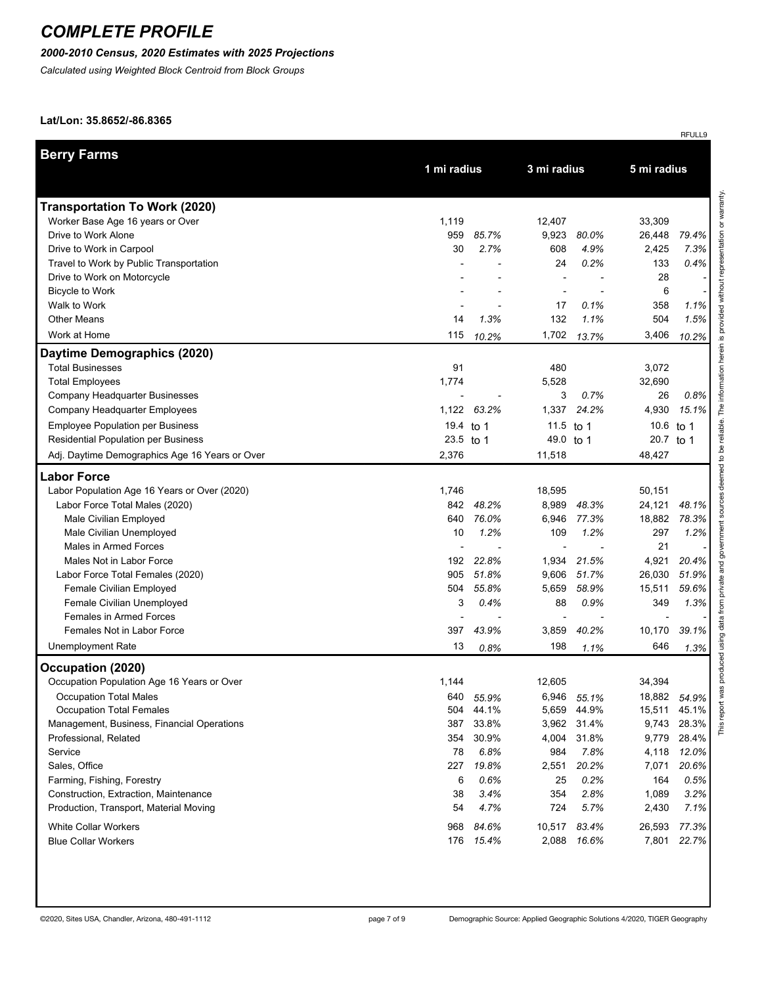## *2000-2010 Census, 2020 Estimates with 2025 Projections*

*Calculated using Weighted Block Centroid from Block Groups*

#### **Lat/Lon: 35.8652/-86.8365**

|                                                |           |             |           |             |           | RFULL9      |  |  |
|------------------------------------------------|-----------|-------------|-----------|-------------|-----------|-------------|--|--|
| <b>Berry Farms</b>                             |           |             |           |             |           |             |  |  |
|                                                |           | 1 mi radius |           | 3 mi radius |           | 5 mi radius |  |  |
| <b>Transportation To Work (2020)</b>           |           |             |           |             |           |             |  |  |
| Worker Base Age 16 years or Over               | 1,119     |             | 12,407    |             | 33,309    |             |  |  |
| Drive to Work Alone                            | 959       | 85.7%       | 9,923     | 80.0%       | 26,448    | 79.4%       |  |  |
| Drive to Work in Carpool                       | 30        | 2.7%        | 608       | 4.9%        | 2,425     | 7.3%        |  |  |
| Travel to Work by Public Transportation        |           |             | 24        | 0.2%        | 133       | 0.4%        |  |  |
| Drive to Work on Motorcycle                    |           |             |           |             | 28        |             |  |  |
| <b>Bicycle to Work</b>                         |           |             |           |             | 6         |             |  |  |
| Walk to Work                                   |           |             | 17        | 0.1%        | 358       | 1.1%        |  |  |
| <b>Other Means</b>                             | 14        | 1.3%        | 132       | 1.1%        | 504       | 1.5%        |  |  |
| Work at Home                                   | 115       | 10.2%       | 1,702     | 13.7%       | 3,406     | 10.2%       |  |  |
| Daytime Demographics (2020)                    |           |             |           |             |           |             |  |  |
| <b>Total Businesses</b>                        | 91        |             | 480       |             | 3,072     |             |  |  |
| <b>Total Employees</b>                         | 1,774     |             | 5,528     |             | 32,690    |             |  |  |
| Company Headquarter Businesses                 |           |             | 3         | 0.7%        | 26        | 0.8%        |  |  |
| Company Headquarter Employees                  | 1,122     | 63.2%       | 1,337     | 24.2%       | 4,930     | 15.1%       |  |  |
| <b>Employee Population per Business</b>        | 19.4 to 1 |             | 11.5      | to 1        | 10.6      | to 1        |  |  |
| <b>Residential Population per Business</b>     | 23.5 to 1 |             | 49.0 to 1 |             | 20.7 to 1 |             |  |  |
| Adj. Daytime Demographics Age 16 Years or Over | 2,376     |             | 11,518    |             | 48,427    |             |  |  |
| <b>Labor Force</b>                             |           |             |           |             |           |             |  |  |
| Labor Population Age 16 Years or Over (2020)   | 1,746     |             | 18,595    |             | 50,151    |             |  |  |
| Labor Force Total Males (2020)                 | 842       | 48.2%       | 8,989     | 48.3%       | 24,121    | 48.1%       |  |  |
| Male Civilian Employed                         | 640       | 76.0%       | 6,946     | 77.3%       | 18,882    | 78.3%       |  |  |
| Male Civilian Unemployed                       | 10        | 1.2%        | 109       | 1.2%        | 297       | 1.2%        |  |  |
| Males in Armed Forces                          |           |             |           |             | 21        |             |  |  |
| Males Not in Labor Force                       | 192       | 22.8%       | 1,934     | 21.5%       | 4,921     | 20.4%       |  |  |
| Labor Force Total Females (2020)               | 905       | 51.8%       | 9,606     | 51.7%       | 26,030    | 51.9%       |  |  |
| Female Civilian Employed                       | 504       | 55.8%       | 5,659     | 58.9%       | 15,511    | 59.6%       |  |  |
| Female Civilian Unemployed                     | 3         | 0.4%        | 88        | 0.9%        | 349       | 1.3%        |  |  |
| <b>Females in Armed Forces</b>                 |           |             |           |             |           |             |  |  |
| Females Not in Labor Force                     | 397       | 43.9%       | 3,859     | 40.2%       | 10,170    | 39.1%       |  |  |
| <b>Unemployment Rate</b>                       | 13        | 0.8%        | 198       | 1.1%        | 646       | 1.3%        |  |  |
| Occupation (2020)                              |           |             |           |             |           |             |  |  |
| Occupation Population Age 16 Years or Over     | 1,144     |             | 12.605    |             | 34,394    |             |  |  |
| <b>Occupation Total Males</b>                  | 640       | 55.9%       | 6,946     | 55.1%       | 18,882    | 54.9%       |  |  |
| <b>Occupation Total Females</b>                | 504       | 44.1%       | 5,659     | 44.9%       | 15,511    | 45.1%       |  |  |
| Management, Business, Financial Operations     | 387       | 33.8%       | 3,962     | 31.4%       | 9,743     | 28.3%       |  |  |
| Professional, Related                          | 354       | 30.9%       | 4,004     | 31.8%       | 9,779     | 28.4%       |  |  |
| Service                                        | 78        | 6.8%        | 984       | 7.8%        | 4,118     | 12.0%       |  |  |
| Sales, Office                                  | 227       | 19.8%       | 2,551     | 20.2%       | 7,071     | 20.6%       |  |  |
| Farming, Fishing, Forestry                     | 6         | 0.6%        | 25        | 0.2%        | 164       | 0.5%        |  |  |
| Construction, Extraction, Maintenance          | 38        | 3.4%        | 354       | 2.8%        | 1,089     | 3.2%        |  |  |
| Production, Transport, Material Moving         | 54        | 4.7%        | 724       | 5.7%        | 2,430     | 7.1%        |  |  |
| <b>White Collar Workers</b>                    | 968       | 84.6%       | 10,517    | 83.4%       | 26,593    | 77.3%       |  |  |
| <b>Blue Collar Workers</b>                     | 176       | 15.4%       | 2,088     | 16.6%       | 7,801     | 22.7%       |  |  |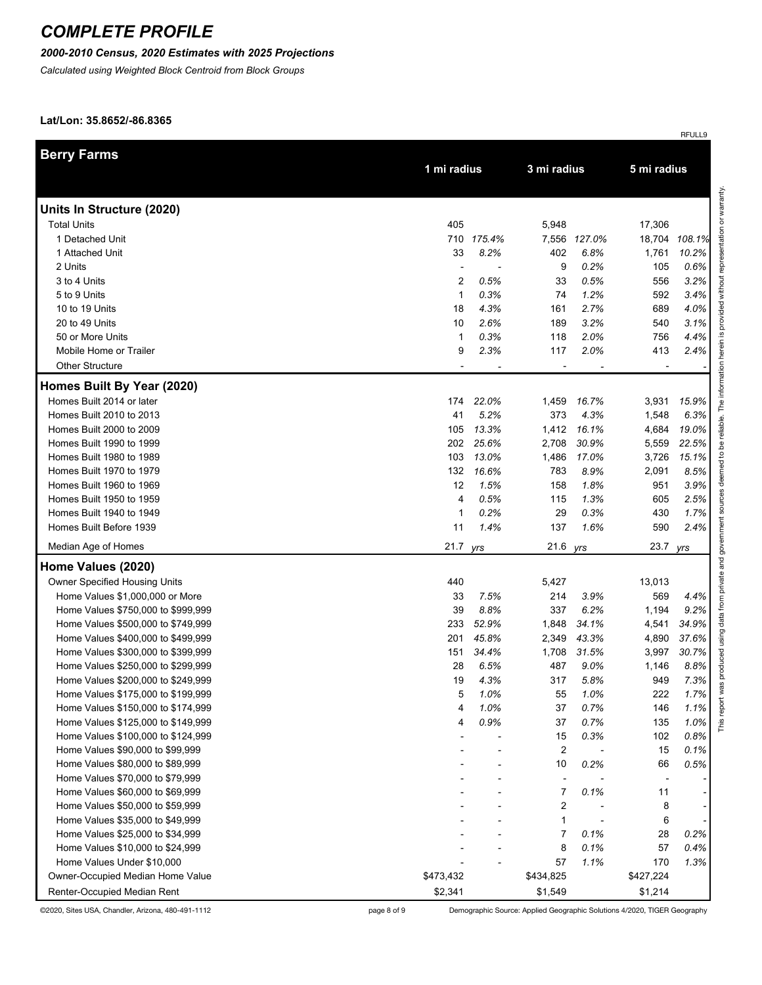## *2000-2010 Census, 2020 Estimates with 2025 Projections*

*Calculated using Weighted Block Centroid from Block Groups*

#### **Lat/Lon: 35.8652/-86.8365**

|                                    |                          |            |             |              |                | RFULL9 |                            |
|------------------------------------|--------------------------|------------|-------------|--------------|----------------|--------|----------------------------|
| <b>Berry Farms</b>                 |                          |            |             |              | 5 mi radius    |        |                            |
|                                    | 1 mi radius              |            | 3 mi radius |              |                |        |                            |
| Units In Structure (2020)          |                          |            |             |              |                |        | representation or warranty |
| <b>Total Units</b>                 | 405                      |            | 5,948       |              | 17,306         |        |                            |
| 1 Detached Unit                    |                          | 710 175.4% |             | 7,556 127.0% | 18,704         | 108.1% |                            |
| 1 Attached Unit                    | 33                       | 8.2%       | 402         | 6.8%         | 1,761          | 10.2%  |                            |
| 2 Units                            | $\overline{\phantom{a}}$ |            | 9           | 0.2%         | 105            | 0.6%   |                            |
| 3 to 4 Units                       | 2                        | 0.5%       | 33          | 0.5%         | 556            | 3.2%   | without                    |
| 5 to 9 Units                       | $\mathbf{1}$             | 0.3%       | 74          | 1.2%         | 592            | 3.4%   |                            |
| 10 to 19 Units                     | 18                       | 4.3%       | 161         | 2.7%         | 689            | 4.0%   | provided                   |
| 20 to 49 Units                     | 10                       | 2.6%       | 189         | 3.2%         | 540            | 3.1%   |                            |
| 50 or More Units                   | 1                        | 0.3%       | 118         | 2.0%         | 756            | 4.4%   | ∾.                         |
| Mobile Home or Trailer             | 9                        | 2.3%       | 117         | 2.0%         | 413            | 2.4%   | herein                     |
| <b>Other Structure</b>             |                          |            |             |              |                |        |                            |
| Homes Built By Year (2020)         |                          |            |             |              |                |        | The information            |
| Homes Built 2014 or later          | 174                      | 22.0%      | 1,459       | 16.7%        | 3,931          | 15.9%  |                            |
| Homes Built 2010 to 2013           | 41                       | 5.2%       | 373         | 4.3%         | 1,548          | 6.3%   |                            |
| Homes Built 2000 to 2009           | 105                      | 13.3%      | 1,412       | 16.1%        | 4,684          | 19.0%  | reliable.                  |
| Homes Built 1990 to 1999           | 202                      | 25.6%      | 2,708       | 30.9%        | 5,559          | 22.5%  | Ъe                         |
| Homes Built 1980 to 1989           | 103                      | 13.0%      | 1,486       | 17.0%        | 3,726          | 15.1%  | ٩,                         |
| Homes Built 1970 to 1979           | 132                      | 16.6%      | 783         | 8.9%         | 2,091          | 8.5%   | deemed                     |
| Homes Built 1960 to 1969           | 12                       | 1.5%       | 158         | 1.8%         | 951            | 3.9%   |                            |
| Homes Built 1950 to 1959           | 4                        | 0.5%       | 115         | 1.3%         | 605            | 2.5%   | sources                    |
| Homes Built 1940 to 1949           | 1                        | 0.2%       | 29          | 0.3%         | 430            | 1.7%   |                            |
| Homes Built Before 1939            | 11                       | 1.4%       | 137         | 1.6%         | 590            | 2.4%   |                            |
| Median Age of Homes                | 21.7 yrs                 |            | 21.6        | yrs          | 23.7           | yrs    | government                 |
| Home Values (2020)                 |                          |            |             |              |                |        | private and                |
| Owner Specified Housing Units      | 440                      |            | 5,427       |              | 13,013         |        |                            |
| Home Values \$1,000,000 or More    | 33                       | 7.5%       | 214         | 3.9%         | 569            | 4.4%   |                            |
| Home Values \$750,000 to \$999,999 | 39                       | 8.8%       | 337         | 6.2%         | 1,194          | 9.2%   | data from                  |
| Home Values \$500,000 to \$749,999 | 233                      | 52.9%      | 1,848       | 34.1%        | 4,541          | 34.9%  |                            |
| Home Values \$400,000 to \$499,999 | 201                      | 45.8%      | 2,349       | 43.3%        | 4,890          | 37.6%  | using                      |
| Home Values \$300,000 to \$399,999 | 151                      | 34.4%      | 1,708       | 31.5%        | 3,997          | 30.7%  | peor                       |
| Home Values \$250,000 to \$299,999 | 28                       | 6.5%       | 487         | 9.0%         | 1,146          | 8.8%   | produ                      |
| Home Values \$200,000 to \$249,999 | 19                       | 4.3%       | 317         | 5.8%         | 949            | 7.3%   | $\overline{\mathbf{0}}$    |
| Home Values \$175,000 to \$199,999 | 5                        | 1.0%       | 55          | 1.0%         | 222            | 1.7%   | report wa                  |
| Home Values \$150,000 to \$174,999 | 4                        | 1.0%       | 37          | 0.7%         | 146            | 1.1%   |                            |
| Home Values \$125,000 to \$149,999 | 4                        | 0.9%       | 37          | 0.7%         | 135            | 1.0%   | This                       |
| Home Values \$100,000 to \$124,999 |                          |            | 15          | 0.3%         | 102            | 0.8%   |                            |
| Home Values \$90,000 to \$99,999   |                          |            | 2           |              | 15             | 0.1%   |                            |
| Home Values \$80,000 to \$89,999   |                          |            | 10          | 0.2%         | 66             | 0.5%   |                            |
| Home Values \$70,000 to \$79,999   |                          |            |             |              | $\overline{a}$ |        |                            |
| Home Values \$60,000 to \$69,999   |                          |            | 7           | 0.1%         | 11             |        |                            |
| Home Values \$50,000 to \$59,999   |                          |            | 2           |              | 8              |        |                            |
| Home Values \$35,000 to \$49,999   |                          |            | 1           |              | 6              |        |                            |
| Home Values \$25,000 to \$34,999   |                          |            | 7           | 0.1%         | 28             | 0.2%   |                            |
| Home Values \$10,000 to \$24,999   |                          |            | 8           | 0.1%         | 57             | 0.4%   |                            |
| Home Values Under \$10,000         |                          |            | 57          | 1.1%         | 170            | 1.3%   |                            |
| Owner-Occupied Median Home Value   | \$473,432                |            | \$434,825   |              | \$427,224      |        |                            |
| Renter-Occupied Median Rent        | \$2,341                  |            | \$1,549     |              | \$1,214        |        |                            |

©2020, Sites USA, Chandler, Arizona, 480-491-1112 page 8 of 9 Demographic Source: Applied Geographic Solutions 4/2020, TIGER Geography